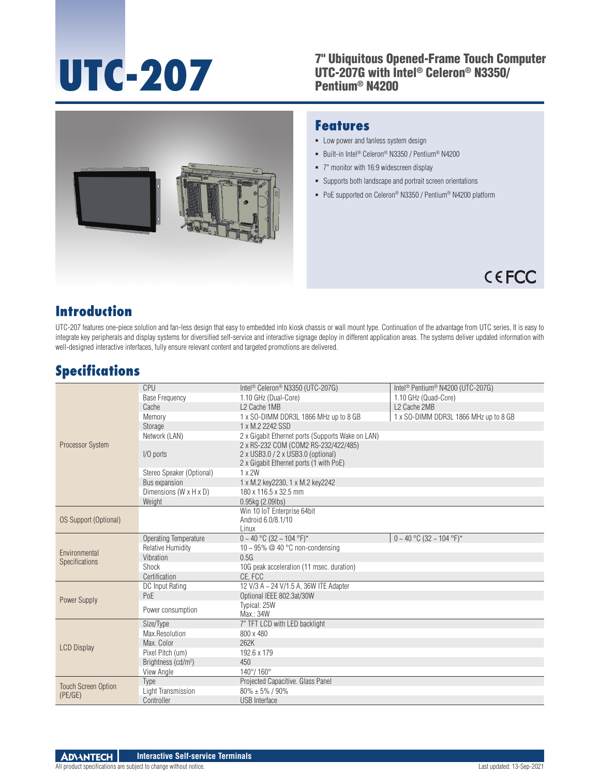#### TC-207 <sup>7"</sup> Ubiquitous Opened-Frame Touch Computer<br>
UTC-2076 with Intel® Celeron® N3350/<br>
Pentium® N4200 UTC-207G with Intel® Celeron® N3350/ Pentium® N4200



#### **Features**

- **-** Low power and fanless system design
- Built-in Intel<sup>®</sup> Celeron<sup>®</sup> N3350 / Pentium<sup>®</sup> N4200
- 7" monitor with 16:9 widescreen display
- Supports both landscape and portrait screen orientations
- PoE supported on Celeron® N3350 / Pentium® N4200 platform



### **Introduction**

UTC-207 features one-piece solution and fan-less design that easy to embedded into kiosk chassis or wall mount type. Continuation of the advantage from UTC series, It is easy to integrate key peripherals and display systems for diversified self-service and interactive signage deploy in different application areas. The systems deliver updated information with well-designed interactive interfaces, fully ensure relevant content and targeted promotions are delivered.

# **Specifications**

| Processor System                      | CPU                             | Intel <sup>®</sup> Celeron <sup>®</sup> N3350 (UTC-207G)                                                              | Intel <sup>®</sup> Pentium <sup>®</sup> N4200 (UTC-207G) |
|---------------------------------------|---------------------------------|-----------------------------------------------------------------------------------------------------------------------|----------------------------------------------------------|
|                                       | <b>Base Frequency</b>           | 1.10 GHz (Dual-Core)                                                                                                  | 1.10 GHz (Quad-Core)                                     |
|                                       | Cache                           | L <sub>2</sub> Cache 1MB                                                                                              | L2 Cache 2MB                                             |
|                                       | Memory                          | 1 x SO-DIMM DDR3L 1866 MHz up to 8 GB                                                                                 | 1 x SO-DIMM DDR3L 1866 MHz up to 8 GB                    |
|                                       | Storage                         | 1 x M.2 2242 SSD                                                                                                      |                                                          |
|                                       | Network (LAN)                   | 2 x Gigabit Ethernet ports (Supports Wake on LAN)                                                                     |                                                          |
|                                       | I/O ports                       | 2 x RS-232 COM (COM2 RS-232/422/485)<br>2 x USB3.0 / 2 x USB3.0 (optional)<br>2 x Gigabit Ethernet ports (1 with PoE) |                                                          |
|                                       | Stereo Speaker (Optional)       | 1 x 2W                                                                                                                |                                                          |
|                                       | Bus expansion                   | 1 x M.2 key2230, 1 x M.2 key2242                                                                                      |                                                          |
|                                       | Dimensions (W x H x D)          | 180 x 116.5 x 32.5 mm                                                                                                 |                                                          |
|                                       | Weight                          | 0.95kg (2.09lbs)                                                                                                      |                                                          |
| OS Support (Optional)                 |                                 | Win 10 IoT Enterprise 64bit<br>Android 6.0/8.1/10<br>Linux                                                            |                                                          |
| Environmental<br>Specifications       | Operating Temperature           | $0 \sim 40$ °C (32 ~ 104 °F)*                                                                                         | $0 \sim 40$ °C (32 ~ 104 °F)*                            |
|                                       | <b>Relative Humidity</b>        | 10 ~ 95% @ 40 °C non-condensing                                                                                       |                                                          |
|                                       | Vibration                       | 0.5G                                                                                                                  |                                                          |
|                                       | Shock                           | 10G peak acceleration (11 msec. duration)                                                                             |                                                          |
|                                       | Certification                   | CE. FCC                                                                                                               |                                                          |
| Power Supply                          | DC Input Rating                 | 12 V/3 A ~ 24 V/1.5 A, 36W ITE Adapter                                                                                |                                                          |
|                                       | PoE                             | Optional IEEE 802.3at/30W                                                                                             |                                                          |
|                                       | Power consumption               | Typical: 25W<br>Max.: 34W                                                                                             |                                                          |
| <b>LCD Display</b>                    | Size/Type                       | 7" TFT LCD with LED backlight                                                                                         |                                                          |
|                                       | Max.Resolution                  | 800 x 480                                                                                                             |                                                          |
|                                       | Max. Color                      | 262K                                                                                                                  |                                                          |
|                                       | Pixel Pitch (um)                | 192.6 x 179                                                                                                           |                                                          |
|                                       | Brightness (cd/m <sup>2</sup> ) | 450                                                                                                                   |                                                          |
|                                       | View Angle                      | $140^{\circ}/ 160^{\circ}$                                                                                            |                                                          |
| <b>Touch Screen Option</b><br>(PE/GE) | Type                            | Projected Capacitive. Glass Panel                                                                                     |                                                          |
|                                       | Light Transmission              | $80\% \pm 5\%$ / 90%                                                                                                  |                                                          |
|                                       | Controller                      | <b>USB</b> Interface                                                                                                  |                                                          |